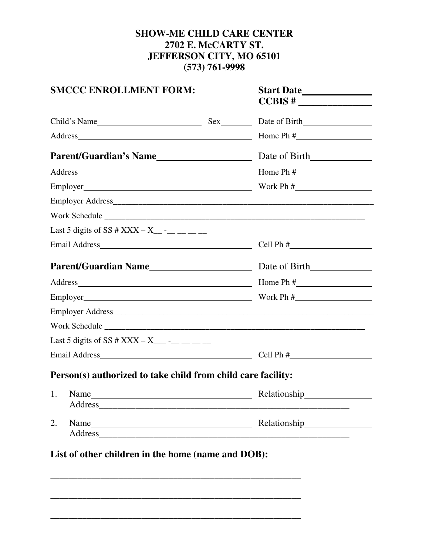# **SHOW-ME CHILD CARE CENTER 2702 E. McCARTY ST. JEFFERSON CITY, MO 65101 (573) 761-9998**

|                                                                                                                                                                                                                                | <b>SMCCC ENROLLMENT FORM:</b>                                |  |              |
|--------------------------------------------------------------------------------------------------------------------------------------------------------------------------------------------------------------------------------|--------------------------------------------------------------|--|--------------|
|                                                                                                                                                                                                                                |                                                              |  |              |
| Address Home Ph #                                                                                                                                                                                                              |                                                              |  |              |
| Parent/Guardian's Name lead and Date of Birth lead of Birth Lead and Date of Birth Lead and Date of Birth Lead and Date of Birth Lead and Date of Birth Lead and Date of Birth Lead and Date of Birth Lead and Date of Birth L |                                                              |  |              |
| Address Home Ph #                                                                                                                                                                                                              |                                                              |  |              |
|                                                                                                                                                                                                                                |                                                              |  |              |
|                                                                                                                                                                                                                                |                                                              |  |              |
|                                                                                                                                                                                                                                | Work Schedule                                                |  |              |
|                                                                                                                                                                                                                                | Last 5 digits of SS # XXX – X_ -_ _ _ _ _                    |  |              |
|                                                                                                                                                                                                                                |                                                              |  |              |
| <b>Parent/Guardian Name</b> Date of Birth                                                                                                                                                                                      |                                                              |  |              |
| Address Home Ph #                                                                                                                                                                                                              |                                                              |  |              |
| Employer $\qquad \qquad \text{Work Ph } \#$                                                                                                                                                                                    |                                                              |  |              |
|                                                                                                                                                                                                                                |                                                              |  |              |
|                                                                                                                                                                                                                                | Work Schedule                                                |  |              |
|                                                                                                                                                                                                                                | Last 5 digits of SS # XXX – X___ -__ __ __ __                |  |              |
|                                                                                                                                                                                                                                |                                                              |  |              |
|                                                                                                                                                                                                                                | Person(s) authorized to take child from child care facility: |  |              |
|                                                                                                                                                                                                                                | 1. Name                                                      |  | Relationship |
| 2.                                                                                                                                                                                                                             | Name                                                         |  |              |
|                                                                                                                                                                                                                                | List of other children in the home (name and DOB):           |  |              |

\_\_\_\_\_\_\_\_\_\_\_\_\_\_\_\_\_\_\_\_\_\_\_\_\_\_\_\_\_\_\_\_\_\_\_\_\_\_\_\_\_\_\_\_\_\_\_\_\_\_\_\_\_\_\_

\_\_\_\_\_\_\_\_\_\_\_\_\_\_\_\_\_\_\_\_\_\_\_\_\_\_\_\_\_\_\_\_\_\_\_\_\_\_\_\_\_\_\_\_\_\_\_\_\_\_\_\_\_\_\_

\_\_\_\_\_\_\_\_\_\_\_\_\_\_\_\_\_\_\_\_\_\_\_\_\_\_\_\_\_\_\_\_\_\_\_\_\_\_\_\_\_\_\_\_\_\_\_\_\_\_\_\_\_\_\_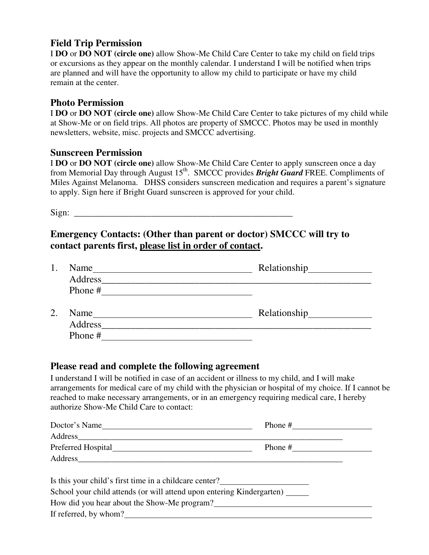# **Field Trip Permission**

I **DO** or **DO NOT (circle one)** allow Show-Me Child Care Center to take my child on field trips or excursions as they appear on the monthly calendar. I understand I will be notified when trips are planned and will have the opportunity to allow my child to participate or have my child remain at the center.

#### **Photo Permission**

I **DO** or **DO NOT (circle one)** allow Show-Me Child Care Center to take pictures of my child while at Show-Me or on field trips. All photos are property of SMCCC. Photos may be used in monthly newsletters, website, misc. projects and SMCCC advertising.

#### **Sunscreen Permission**

I **DO** or **DO NOT (circle one)** allow Show-Me Child Care Center to apply sunscreen once a day from Memorial Day through August 15<sup>th</sup>. SMCCC provides **Bright Guard** FREE. Compliments of Miles Against Melanoma. DHSS considers sunscreen medication and requires a parent's signature to apply. Sign here if Bright Guard sunscreen is approved for your child.

 $Sign:$ 

### **Emergency Contacts: (Other than parent or doctor) SMCCC will try to contact parents first, please list in order of contact.**

|    | Name    |              |
|----|---------|--------------|
|    | Address |              |
|    | Phone # |              |
|    |         |              |
| 2. |         |              |
|    | Name    | Relationship |
|    | Address |              |

#### **Please read and complete the following agreement**

I understand I will be notified in case of an accident or illness to my child, and I will make arrangements for medical care of my child with the physician or hospital of my choice. If I cannot be reached to make necessary arrangements, or in an emergency requiring medical care, I hereby authorize Show-Me Child Care to contact:

| Doctor's Name                                                         | Phone $#$ |
|-----------------------------------------------------------------------|-----------|
|                                                                       |           |
| Preferred Hospital                                                    | Phone $#$ |
| Address                                                               |           |
|                                                                       |           |
| Is this your child's first time in a childcare center?                |           |
| School your child attends (or will attend upon entering Kindergarten) |           |

How did you hear about the Show-Me program?<br>
<u>Example 2001</u>

If referred, by whom?